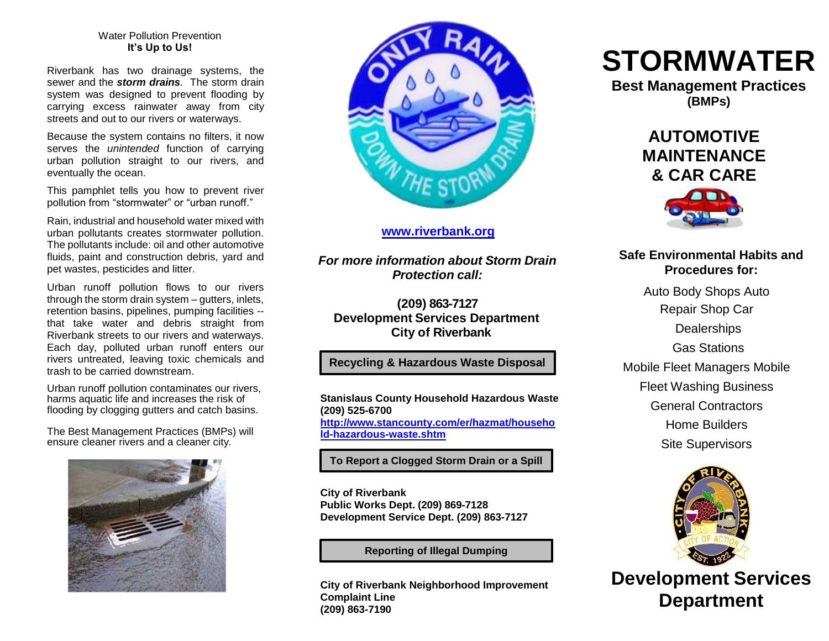#### Water Pollution Prevention **It's Up to Us!**

Riverbank has two drainage systems, the sewer and the *storm drains.* The storm drain system was designed to prevent flooding by carrying excess rainwater away from city streets and out to our rivers or waterways.

Because the system contains no filters, it now serves the *unintended* function of carrying urban pollution straight to our rivers, and eventually the ocean.

This pamphlet tells you how to prevent river pollution from "stormwater" or "urban runoff."

Rain, industrial and household water mixed with urban pollutants creates stormwater pollution. The pollutants include: oil and other automotive fluids, paint and construction debris, yard and pet wastes, pesticides and litter.

Urban runoff pollution flows to our rivers through the storm drain system – gutters, inlets, retention basins, pipelines, pumping facilities - that take water and debris straight from Riverbank streets to our rivers and waterways. Each day, polluted urban runoff enters our rivers untreated, leaving toxic chemicals and trash to be carried downstream.

Urban runoff pollution contaminates our rivers, harms aquatic life and increases the risk of flooding by clogging gutters and catch basins.

The Best Management Practices (BMPs) will ensure cleaner rivers and a cleaner city.





#### **[www.riverbank.org](http://www.riverbank.org/)**

*For more information about Storm Drain Protection call:*

**(209) 863-7127 Development Services Department City of Riverbank**

### **Recycling & Hazardous Waste Disposal**

**Stanislaus County Household Hazardous Waste (209) 525-6700 [http://www.stancounty.com/er/hazmat/househo](http://www.stancounty.com/er/hazmat/household-hazardous-waste.shtm) [ld-hazardous-waste.shtm](http://www.stancounty.com/er/hazmat/household-hazardous-waste.shtm)**

**To Report a Clogged Storm Drain or a Spill**

**City of Riverbank Public Works Dept. (209) 869-7128 Development Service Dept. (209) 863-7127**

**Reporting of Illegal Dumping**

**City of Riverbank Neighborhood Improvement Complaint Line (209) 863-7190**

# **STORMWATER**

**Best Management Practices (BMPs)**

> **AUTOMOTIVE MAINTENANCE & CAR CARE**



## **Safe Environmental Habits and Procedures for:**

Auto Body Shops Auto Repair Shop Car **Dealerships** Gas Stations Mobile Fleet Managers Mobile Fleet Washing Business General Contractors Home Builders Site Supervisors



**Development Services Department**